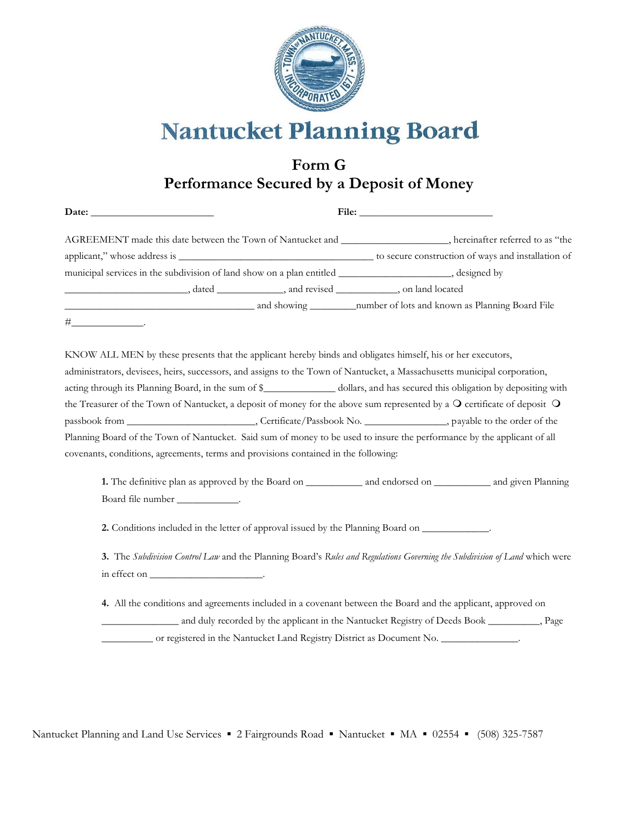

# **Nantucket Planning Board**

## **Form G Performance Secured by a Deposit of Money**

| AGREEMENT made this date between the Town of Nantucket and ____________________, hereinafter referred to as "the                       |  |  |                                                                                             |  |
|----------------------------------------------------------------------------------------------------------------------------------------|--|--|---------------------------------------------------------------------------------------------|--|
|                                                                                                                                        |  |  |                                                                                             |  |
|                                                                                                                                        |  |  |                                                                                             |  |
|                                                                                                                                        |  |  |                                                                                             |  |
|                                                                                                                                        |  |  |                                                                                             |  |
| $\# \underbrace{\hspace{2cm}} \ldots \qquad \qquad \qquad \ldots \qquad \qquad$                                                        |  |  |                                                                                             |  |
| KNOW ALL MEN by these presents that the applicant hereby binds and obligates himself, his or her executors,                            |  |  |                                                                                             |  |
| administrators, devisees, heirs, successors, and assigns to the Town of Nantucket, a Massachusetts municipal corporation,              |  |  |                                                                                             |  |
|                                                                                                                                        |  |  |                                                                                             |  |
| the Treasurer of the Town of Nantucket, a deposit of money for the above sum represented by a $\Omega$ certificate of deposit $\Omega$ |  |  |                                                                                             |  |
|                                                                                                                                        |  |  |                                                                                             |  |
| Planning Board of the Town of Nantucket. Said sum of money to be used to insure the performance by the applicant of all                |  |  |                                                                                             |  |
| covenants, conditions, agreements, terms and provisions contained in the following:                                                    |  |  |                                                                                             |  |
|                                                                                                                                        |  |  |                                                                                             |  |
| Board file number _____________.                                                                                                       |  |  |                                                                                             |  |
| 2. Conditions included in the letter of approval issued by the Planning Board on ____________.                                         |  |  |                                                                                             |  |
| 3. The Subdivision Control Law and the Planning Board's Rules and Regulations Governing the Subdivision of Land which were             |  |  |                                                                                             |  |
| in effect on __________________________.                                                                                               |  |  |                                                                                             |  |
| 4. All the conditions and agreements included in a covenant between the Board and the applicant, approved on                           |  |  |                                                                                             |  |
|                                                                                                                                        |  |  | and duly recorded by the applicant in the Nantucket Registry of Deeds Book __________, Page |  |

\_\_\_\_\_\_\_\_\_\_ or registered in the Nantucket Land Registry District as Document No. \_\_\_\_\_\_\_\_\_\_\_\_\_\_\_.

Nantucket Planning and Land Use Services ▪ 2 Fairgrounds Road ▪ Nantucket ▪ MA ▪ 02554 ▪ (508) 325-7587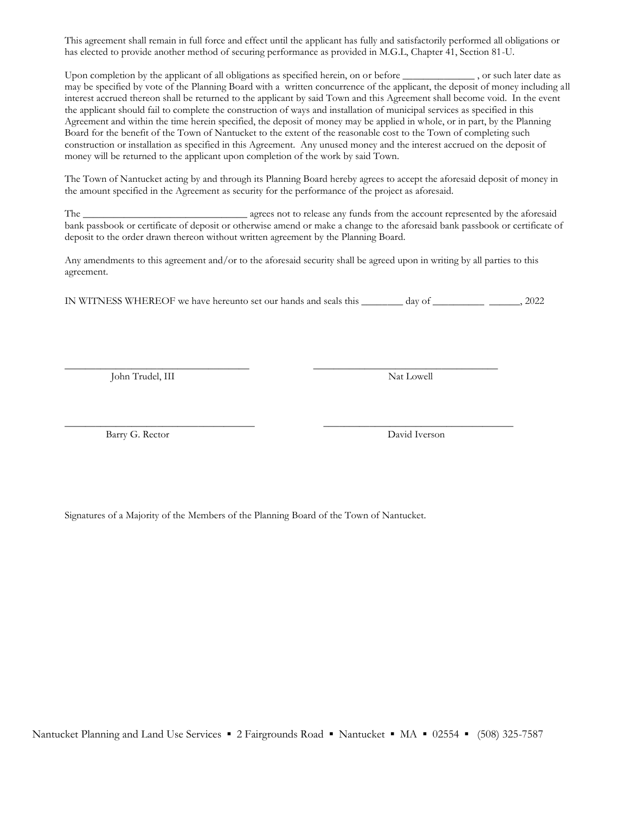This agreement shall remain in full force and effect until the applicant has fully and satisfactorily performed all obligations or has elected to provide another method of securing performance as provided in M.G.L, Chapter 41, Section 81-U.

Upon completion by the applicant of all obligations as specified herein, on or before \_\_\_\_\_\_\_\_\_\_\_\_\_\_ , or such later date as may be specified by vote of the Planning Board with a written concurrence of the applicant, the deposit of money including all interest accrued thereon shall be returned to the applicant by said Town and this Agreement shall become void. In the event the applicant should fail to complete the construction of ways and installation of municipal services as specified in this Agreement and within the time herein specified, the deposit of money may be applied in whole, or in part, by the Planning Board for the benefit of the Town of Nantucket to the extent of the reasonable cost to the Town of completing such construction or installation as specified in this Agreement. Any unused money and the interest accrued on the deposit of money will be returned to the applicant upon completion of the work by said Town.

The Town of Nantucket acting by and through its Planning Board hereby agrees to accept the aforesaid deposit of money in the amount specified in the Agreement as security for the performance of the project as aforesaid.

The \_\_\_\_\_\_\_\_\_\_\_\_\_\_\_\_\_\_\_\_\_\_\_\_\_\_\_\_\_\_\_\_ agrees not to release any funds from the account represented by the aforesaid bank passbook or certificate of deposit or otherwise amend or make a change to the aforesaid bank passbook or certificate of deposit to the order drawn thereon without written agreement by the Planning Board.

Any amendments to this agreement and/or to the aforesaid security shall be agreed upon in writing by all parties to this agreement.

IN WITNESS WHEREOF we have hereunto set our hands and seals this \_\_\_\_\_\_\_\_ day of \_\_\_\_\_\_\_\_\_\_ \_\_\_\_\_\_, 2022

 $\overline{\phantom{a}}$  , and the contribution of the contribution of the contribution of the contribution of the contribution of the contribution of the contribution of the contribution of the contribution of the contribution of the

 $\overline{\phantom{a}}$  , and the contribution of the contribution of the contribution of the contribution of the contribution of the contribution of the contribution of the contribution of the contribution of the contribution of the

John Trudel, III Nat Lowell Nat Lowell

Barry G. Rector David Iverson

Signatures of a Majority of the Members of the Planning Board of the Town of Nantucket.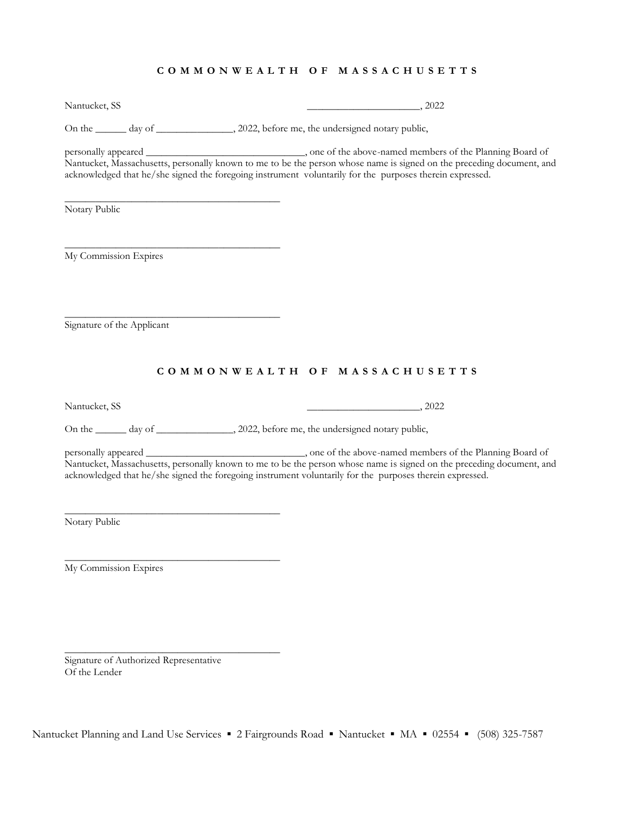#### **C O M M O N W E A L T H O F M A S S A C H U S E T T S**

Nantucket, SS \_\_\_\_\_\_\_\_\_\_\_\_\_\_\_\_\_\_\_\_\_\_, 2022

On the \_\_\_\_\_\_ day of \_\_\_\_\_\_\_\_\_\_\_\_\_\_, 2022, before me, the undersigned notary public,

personally appeared \_\_\_\_\_\_\_\_\_\_\_\_\_\_\_\_\_\_\_\_\_\_\_\_\_\_\_\_\_\_\_, one of the above-named members of the Planning Board of Nantucket, Massachusetts, personally known to me to be the person whose name is signed on the preceding document, and acknowledged that he/she signed the foregoing instrument voluntarily for the purposes therein expressed.

Notary Public

My Commission Expires

\_\_\_\_\_\_\_\_\_\_\_\_\_\_\_\_\_\_\_\_\_\_\_\_\_\_\_\_\_\_\_\_\_\_\_\_\_\_\_\_\_\_

\_\_\_\_\_\_\_\_\_\_\_\_\_\_\_\_\_\_\_\_\_\_\_\_\_\_\_\_\_\_\_\_\_\_\_\_\_\_\_\_\_\_

\_\_\_\_\_\_\_\_\_\_\_\_\_\_\_\_\_\_\_\_\_\_\_\_\_\_\_\_\_\_\_\_\_\_\_\_\_\_\_\_\_\_

\_\_\_\_\_\_\_\_\_\_\_\_\_\_\_\_\_\_\_\_\_\_\_\_\_\_\_\_\_\_\_\_\_\_\_\_\_\_\_\_\_\_

\_\_\_\_\_\_\_\_\_\_\_\_\_\_\_\_\_\_\_\_\_\_\_\_\_\_\_\_\_\_\_\_\_\_\_\_\_\_\_\_\_\_

\_\_\_\_\_\_\_\_\_\_\_\_\_\_\_\_\_\_\_\_\_\_\_\_\_\_\_\_\_\_\_\_\_\_\_\_\_\_\_\_\_\_

Signature of the Applicant

#### **C O M M O N W E A L T H O F M A S S A C H U S E T T S**

Nantucket, SS \_\_\_\_\_\_\_\_\_\_\_\_\_\_\_\_\_\_\_\_\_\_, 2022

On the \_\_\_\_\_\_ day of \_\_\_\_\_\_\_\_\_\_\_\_\_, 2022, before me, the undersigned notary public,

personally appeared \_\_\_\_\_\_\_\_\_\_\_\_\_\_\_\_\_\_\_\_\_\_\_\_\_\_\_\_\_\_\_, one of the above-named members of the Planning Board of Nantucket, Massachusetts, personally known to me to be the person whose name is signed on the preceding document, and acknowledged that he/she signed the foregoing instrument voluntarily for the purposes therein expressed.

Notary Public

My Commission Expires

Signature of Authorized Representative Of the Lender